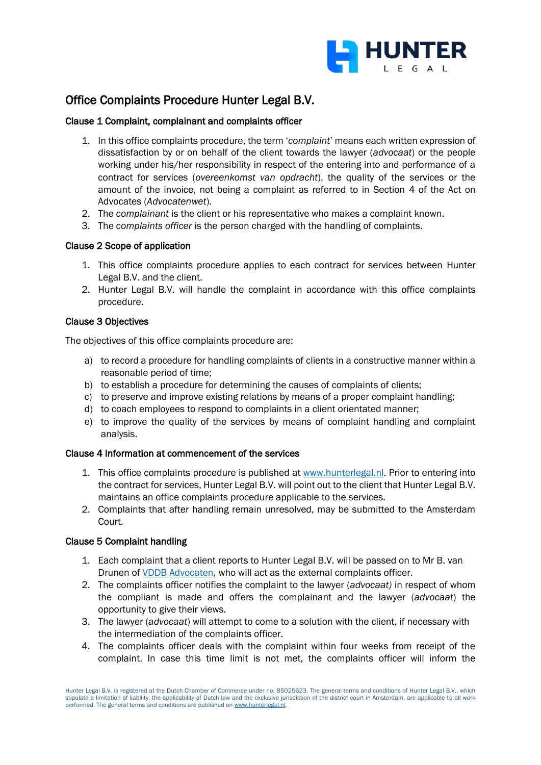

# Office Complaints Procedure Hunter Legal B.V.

## Clause 1 Complaint, complainant and complaints officer

- 1. In this office complaints procedure, the term '*complaint*' means each written expression of dissatisfaction by or on behalf of the client towards the lawyer (*advocaat*) or the people working under his/her responsibility in respect of the entering into and performance of a contract for services (*overeenkomst van opdracht*), the quality of the services or the amount of the invoice, not being a complaint as referred to in Section 4 of the Act on Advocates (*Advocatenwet*).
- 2. The *complainant* is the client or his representative who makes a complaint known.
- 3. The *complaints officer* is the person charged with the handling of complaints.

# Clause 2 Scope of application

- 1. This office complaints procedure applies to each contract for services between Hunter Legal B.V. and the client.
- 2. Hunter Legal B.V. will handle the complaint in accordance with this office complaints procedure.

# Clause 3 Objectives

The objectives of this office complaints procedure are:

- a) to record a procedure for handling complaints of clients in a constructive manner within a reasonable period of time;
- b) to establish a procedure for determining the causes of complaints of clients;
- c) to preserve and improve existing relations by means of a proper complaint handling;
- d) to coach employees to respond to complaints in a client orientated manner;
- e) to improve the quality of the services by means of complaint handling and complaint analysis.

## Clause 4 Information at commencement of the services

- 1. This office complaints procedure is published at [www.hunterlegal.nl.](http://www.hunterlegal.nl/) Prior to entering into the contract for services, Hunter Legal B.V. will point out to the client that Hunter Legal B.V. maintains an office complaints procedure applicable to the services.
- 2. Complaints that after handling remain unresolved, may be submitted to the Amsterdam Court.

## Clause 5 Complaint handling

- 1. Each complaint that a client reports to Hunter Legal B.V. will be passed on to Mr B. van Drunen of [VDDB Advocaten,](https://vddb.nl/) who will act as the external complaints officer.
- 2. The complaints officer notifies the complaint to the lawyer (*advocaat)* in respect of whom the compliant is made and offers the complainant and the lawyer (*advocaat*) the opportunity to give their views.
- 3. The lawyer (*advocaat*) will attempt to come to a solution with the client, if necessary with the intermediation of the complaints officer.
- 4. The complaints officer deals with the complaint within four weeks from receipt of the complaint. In case this time limit is not met, the complaints officer will inform the